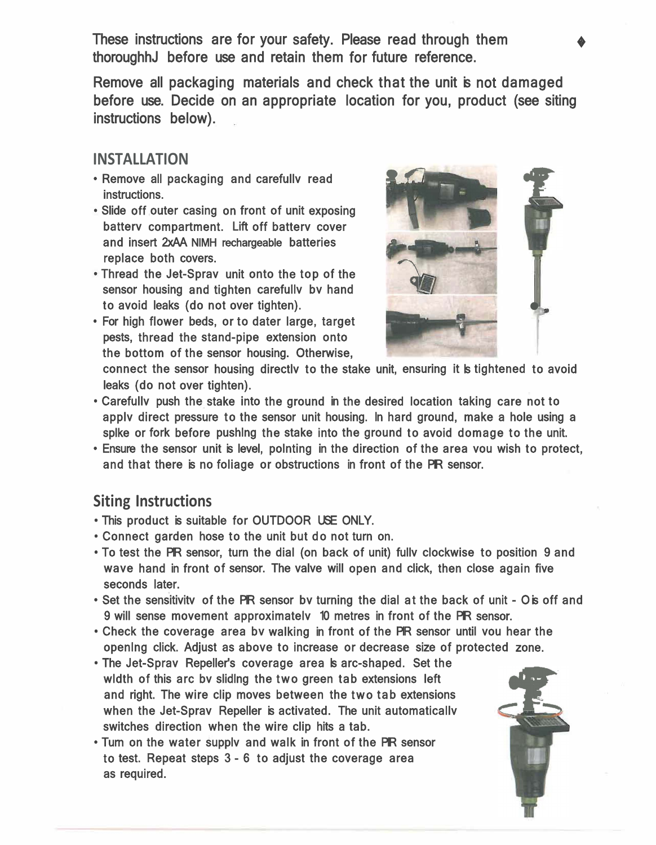These instructions are for your safety. Please read through them thoroughhJ before use and retain them for future reference.

Remove all packaging materials and check that the unit is not damaged before use. Decide on an appropriate location for you, product (see siting instructions below).

#### **INSTALLATION**

- Remove all packaging and carefullv read instructions.
- Slide off outer casing on front of unit exposing batterv compartment. Lift off batterv cover and insert 2xAA NIMH rechargeable batteries replace both covers.
- Thread the Jet-Sprav unit onto the top of the sensor housing and tighten carefullv bv hand to avoid leaks (do not over tighten).
- For high flower beds, or to dater large, target pests, thread the stand-pipe extension onto the bottom of the sensor housing. Otherwise,



connect the sensor housing directly to the stake unit, ensuring it is tightened to avoid leaks (do not over tighten).

- Carefullv push the stake into the ground in the desired location taking care not to applv direct pressure to the sensor unit housing. ln hard ground, make a hole using a splke or fork before pushlng the stake into the ground to avoid domage to the unit.
- Ensure the sensor unit is level, polnting in the direction of the area vou wish to protect, and that there is no foliage or obstructions in front of the PIR sensor.

#### **Siting Instructions**

- This product is suitable for OUTDOOR USE ONLY.
- Connect garden hose to the unit but do not turn on.
- To test the PIR sensor, turn the dial (on back of unit) fully clockwise to position 9 and wave hand in front of sensor. The valve will open and click, then close again five seconds later.
- Set the sensitivity of the PIR sensor by turning the dial at the back of unit O is off and 9 will sense movement approximately 10 metres in front of the PIR sensor.
- Check the coverage area bv walking in front of the PIR sensor until vou hear the openlng click. Adjust as above to increase or decrease size of protected zone.
- The Jet-Sprav Repeller's coverage area is arc-shaped. Set the wldth of this arc bv slidlng the two green tab extensions left and right. The wire clip moves between the two tab extensions when the Jet-Spray Repeller is activated. The unit automatically switches direction when the wire clip hits a tab.
- Turn on the water supplv and walk in front of the PIR sensor to test. Repeat steps 3 - 6 to adjust the coverage area as required.